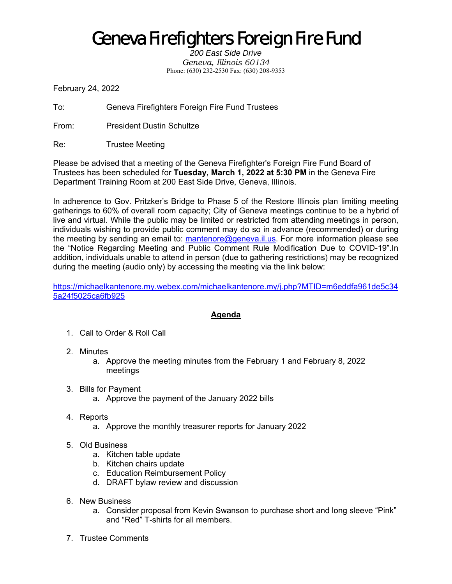## Geneva Firefighters Foreign Fire Fund

*200 East Side Drive Geneva, Illinois 60134*  Phone: (630) 232-2530 Fax: (630) 208-9353

February 24, 2022

To: Geneva Firefighters Foreign Fire Fund Trustees

From: President Dustin Schultze

Re: Trustee Meeting

Please be advised that a meeting of the Geneva Firefighter's Foreign Fire Fund Board of Trustees has been scheduled for **Tuesday, March 1, 2022 at 5:30 PM** in the Geneva Fire Department Training Room at 200 East Side Drive, Geneva, Illinois.

In adherence to Gov. Pritzker's Bridge to Phase 5 of the Restore Illinois plan limiting meeting gatherings to 60% of overall room capacity; City of Geneva meetings continue to be a hybrid of live and virtual. While the public may be limited or restricted from attending meetings in person, individuals wishing to provide public comment may do so in advance (recommended) or during the meeting by sending an email to: mantenore@geneva.il.us. For more information please see the "Notice Regarding Meeting and Public Comment Rule Modification Due to COVID-19".In addition, individuals unable to attend in person (due to gathering restrictions) may be recognized during the meeting (audio only) by accessing the meeting via the link below:

https://michaelkantenore.my.webex.com/michaelkantenore.my/j.php?MTID=m6eddfa961de5c34 5a24f5025ca6fb925

## **Agenda**

- 1. Call to Order & Roll Call
- 2. Minutes
	- a. Approve the meeting minutes from the February 1 and February 8, 2022 meetings
- 3. Bills for Payment
	- a. Approve the payment of the January 2022 bills
- 4. Reports
	- a. Approve the monthly treasurer reports for January 2022
- 5. Old Business
	- a. Kitchen table update
	- b. Kitchen chairs update
	- c. Education Reimbursement Policy
	- d. DRAFT bylaw review and discussion
- 6. New Business
	- a. Consider proposal from Kevin Swanson to purchase short and long sleeve "Pink" and "Red" T-shirts for all members.
- 7. Trustee Comments